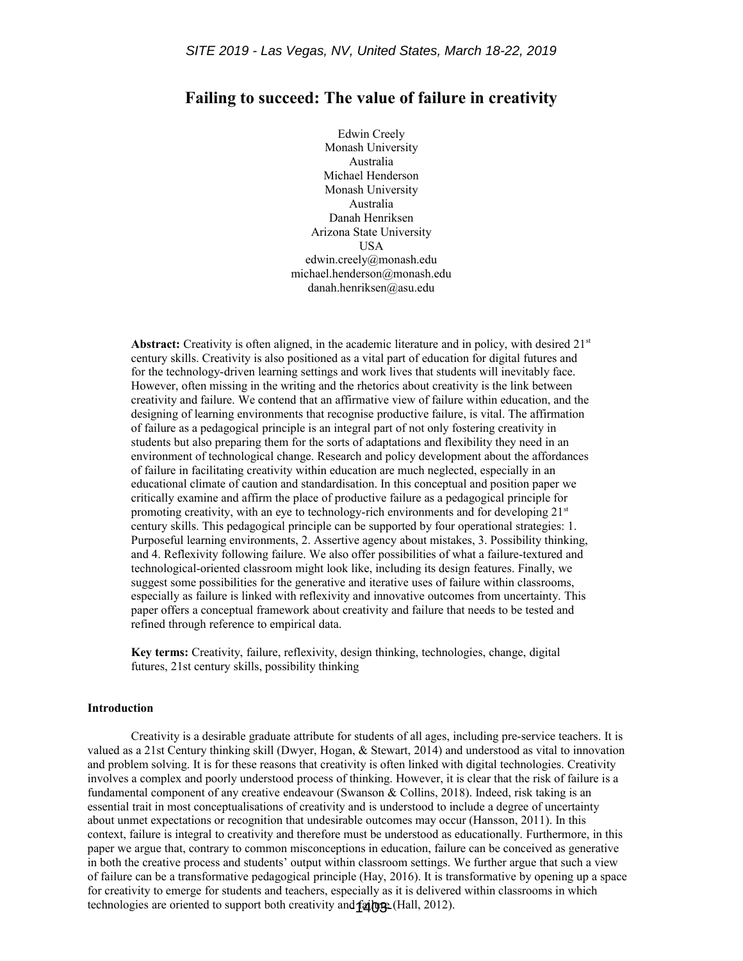# **Failing to succeed: The value of failure in creativity**

Edwin Creely Monash University Australia Michael Henderson Monash University Australia Danah Henriksen Arizona State University USA edwin.creely@monash.edu michael.henderson@monash.edu danah.henriksen@asu.edu

**Abstract:** Creativity is often aligned, in the academic literature and in policy, with desired 21<sup>st</sup> century skills. Creativity is also positioned as a vital part of education for digital futures and for the technology-driven learning settings and work lives that students will inevitably face. However, often missing in the writing and the rhetorics about creativity is the link between creativity and failure. We contend that an affirmative view of failure within education, and the designing of learning environments that recognise productive failure, is vital. The affirmation of failure as a pedagogical principle is an integral part of not only fostering creativity in students but also preparing them for the sorts of adaptations and flexibility they need in an environment of technological change. Research and policy development about the affordances of failure in facilitating creativity within education are much neglected, especially in an educational climate of caution and standardisation. In this conceptual and position paper we critically examine and affirm the place of productive failure as a pedagogical principle for promoting creativity, with an eye to technology-rich environments and for developing  $21<sup>st</sup>$ century skills. This pedagogical principle can be supported by four operational strategies: 1. Purposeful learning environments, 2. Assertive agency about mistakes, 3. Possibility thinking, and 4. Reflexivity following failure. We also offer possibilities of what a failure-textured and technological-oriented classroom might look like, including its design features. Finally, we suggest some possibilities for the generative and iterative uses of failure within classrooms, especially as failure is linked with reflexivity and innovative outcomes from uncertainty. This paper offers a conceptual framework about creativity and failure that needs to be tested and refined through reference to empirical data.

**Key terms:** Creativity, failure, reflexivity, design thinking, technologies, change, digital futures, 21st century skills, possibility thinking

#### **Introduction**

Creativity is a desirable graduate attribute for students of all ages, including pre-service teachers. It is valued as a 21st Century thinking skill (Dwyer, Hogan, & Stewart, 2014) and understood as vital to innovation and problem solving. It is for these reasons that creativity is often linked with digital technologies. Creativity involves a complex and poorly understood process of thinking. However, it is clear that the risk of failure is a fundamental component of any creative endeavour (Swanson & Collins, 2018). Indeed, risk taking is an essential trait in most conceptualisations of creativity and is understood to include a degree of uncertainty about unmet expectations or recognition that undesirable outcomes may occur (Hansson, 2011). In this context, failure is integral to creativity and therefore must be understood as educationally. Furthermore, in this paper we argue that, contrary to common misconceptions in education, failure can be conceived as generative in both the creative process and students' output within classroom settings. We further argue that such a view of failure can be a transformative pedagogical principle (Hay, 2016). It is transformative by opening up a space for creativity to emerge for students and teachers, especially as it is delivered within classrooms in which technologies are oriented to support both creativity and failure. (Hall, 2012).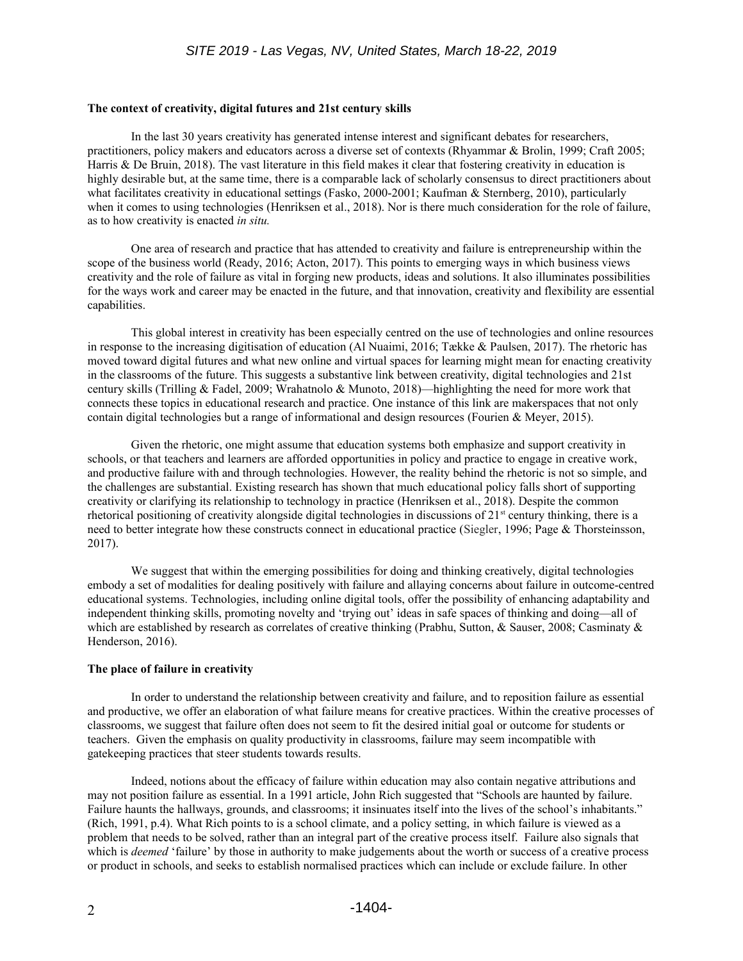### **The context of creativity, digital futures and 21st century skills**

In the last 30 years creativity has generated intense interest and significant debates for researchers, practitioners, policy makers and educators across a diverse set of contexts (Rhyammar & Brolin, 1999; Craft 2005; Harris & De Bruin, 2018). The vast literature in this field makes it clear that fostering creativity in education is highly desirable but, at the same time, there is a comparable lack of scholarly consensus to direct practitioners about what facilitates creativity in educational settings (Fasko, 2000-2001; Kaufman & Sternberg, 2010), particularly when it comes to using technologies (Henriksen et al., 2018). Nor is there much consideration for the role of failure, as to how creativity is enacted *in situ.* 

One area of research and practice that has attended to creativity and failure is entrepreneurship within the scope of the business world (Ready, 2016; Acton, 2017). This points to emerging ways in which business views creativity and the role of failure as vital in forging new products, ideas and solutions. It also illuminates possibilities for the ways work and career may be enacted in the future, and that innovation, creativity and flexibility are essential capabilities.

This global interest in creativity has been especially centred on the use of technologies and online resources in response to the increasing digitisation of education (Al Nuaimi, 2016; Tække & Paulsen, 2017). The rhetoric has moved toward digital futures and what new online and virtual spaces for learning might mean for enacting creativity in the classrooms of the future. This suggests a substantive link between creativity, digital technologies and 21st century skills (Trilling & Fadel, 2009; Wrahatnolo & Munoto, 2018)—highlighting the need for more work that connects these topics in educational research and practice. One instance of this link are makerspaces that not only contain digital technologies but a range of informational and design resources (Fourien & Meyer, 2015).

Given the rhetoric, one might assume that education systems both emphasize and support creativity in schools, or that teachers and learners are afforded opportunities in policy and practice to engage in creative work, and productive failure with and through technologies. However, the reality behind the rhetoric is not so simple, and the challenges are substantial. Existing research has shown that much educational policy falls short of supporting creativity or clarifying its relationship to technology in practice (Henriksen et al., 2018). Despite the common rhetorical positioning of creativity alongside digital technologies in discussions of  $21<sup>st</sup>$  century thinking, there is a need to better integrate how these constructs connect in educational practice (Siegler, 1996; Page & Thorsteinsson, 2017).

We suggest that within the emerging possibilities for doing and thinking creatively, digital technologies embody a set of modalities for dealing positively with failure and allaying concerns about failure in outcome-centred educational systems. Technologies, including online digital tools, offer the possibility of enhancing adaptability and independent thinking skills, promoting novelty and 'trying out' ideas in safe spaces of thinking and doing—all of which are established by research as correlates of creative thinking (Prabhu, Sutton, & Sauser, 2008; Casminaty & Henderson, 2016).

# **The place of failure in creativity**

In order to understand the relationship between creativity and failure, and to reposition failure as essential and productive, we offer an elaboration of what failure means for creative practices. Within the creative processes of classrooms, we suggest that failure often does not seem to fit the desired initial goal or outcome for students or teachers. Given the emphasis on quality productivity in classrooms, failure may seem incompatible with gatekeeping practices that steer students towards results.

Indeed, notions about the efficacy of failure within education may also contain negative attributions and may not position failure as essential. In a 1991 article, John Rich suggested that "Schools are haunted by failure. Failure haunts the hallways, grounds, and classrooms; it insinuates itself into the lives of the school's inhabitants." (Rich, 1991, p.4). What Rich points to is a school climate, and a policy setting, in which failure is viewed as a problem that needs to be solved, rather than an integral part of the creative process itself. Failure also signals that which is *deemed* 'failure' by those in authority to make judgements about the worth or success of a creative process or product in schools, and seeks to establish normalised practices which can include or exclude failure. In other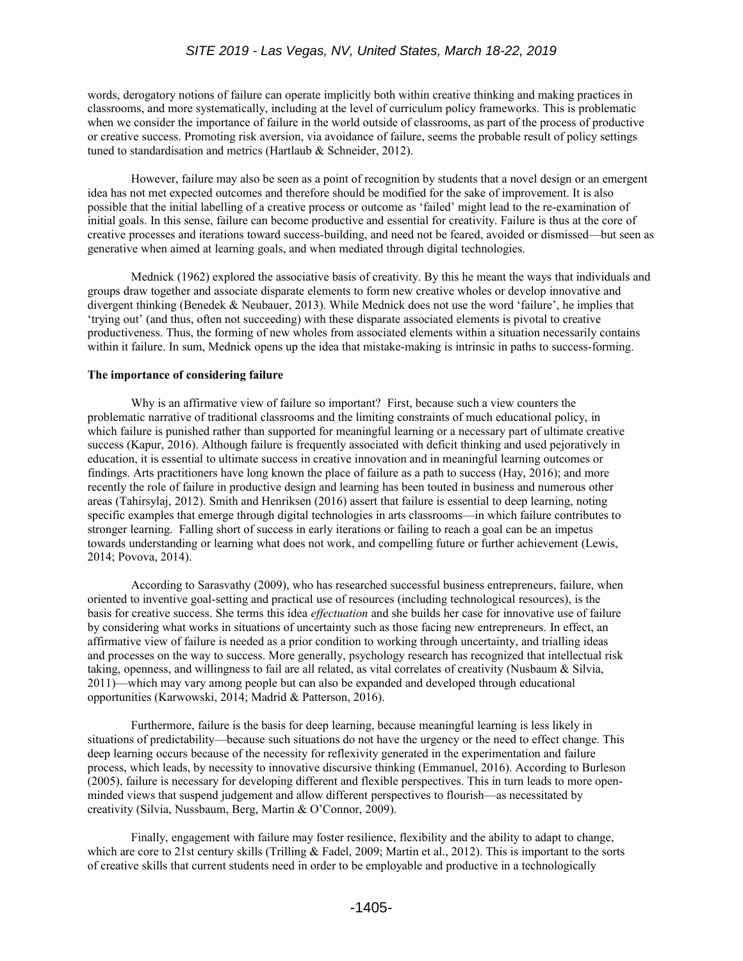words, derogatory notions of failure can operate implicitly both within creative thinking and making practices in classrooms, and more systematically, including at the level of curriculum policy frameworks. This is problematic when we consider the importance of failure in the world outside of classrooms, as part of the process of productive or creative success. Promoting risk aversion, via avoidance of failure, seems the probable result of policy settings tuned to standardisation and metrics (Hartlaub & Schneider, 2012).

However, failure may also be seen as a point of recognition by students that a novel design or an emergent idea has not met expected outcomes and therefore should be modified for the sake of improvement. It is also possible that the initial labelling of a creative process or outcome as 'failed' might lead to the re-examination of initial goals. In this sense, failure can become productive and essential for creativity. Failure is thus at the core of creative processes and iterations toward success-building, and need not be feared, avoided or dismissed—but seen as generative when aimed at learning goals, and when mediated through digital technologies.

Mednick (1962) explored the associative basis of creativity. By this he meant the ways that individuals and groups draw together and associate disparate elements to form new creative wholes or develop innovative and divergent thinking (Benedek & Neubauer, 2013). While Mednick does not use the word 'failure', he implies that 'trying out' (and thus, often not succeeding) with these disparate associated elements is pivotal to creative productiveness. Thus, the forming of new wholes from associated elements within a situation necessarily contains within it failure. In sum, Mednick opens up the idea that mistake-making is intrinsic in paths to success-forming.

# **The importance of considering failure**

Why is an affirmative view of failure so important? First, because such a view counters the problematic narrative of traditional classrooms and the limiting constraints of much educational policy, in which failure is punished rather than supported for meaningful learning or a necessary part of ultimate creative success (Kapur, 2016). Although failure is frequently associated with deficit thinking and used pejoratively in education, it is essential to ultimate success in creative innovation and in meaningful learning outcomes or findings. Arts practitioners have long known the place of failure as a path to success (Hay, 2016); and more recently the role of failure in productive design and learning has been touted in business and numerous other areas (Tahirsylaj, 2012). Smith and Henriksen (2016) assert that failure is essential to deep learning, noting specific examples that emerge through digital technologies in arts classrooms—in which failure contributes to stronger learning. Falling short of success in early iterations or failing to reach a goal can be an impetus towards understanding or learning what does not work, and compelling future or further achievement (Lewis, 2014; Povova, 2014).

According to Sarasvathy (2009), who has researched successful business entrepreneurs, failure, when oriented to inventive goal-setting and practical use of resources (including technological resources), is the basis for creative success. She terms this idea *effectuation* and she builds her case for innovative use of failure by considering what works in situations of uncertainty such as those facing new entrepreneurs*.* In effect, an affirmative view of failure is needed as a prior condition to working through uncertainty, and trialling ideas and processes on the way to success. More generally, psychology research has recognized that intellectual risk taking, openness, and willingness to fail are all related, as vital correlates of creativity (Nusbaum & Silvia, 2011)—which may vary among people but can also be expanded and developed through educational opportunities (Karwowski, 2014; Madrid & Patterson, 2016).

Furthermore, failure is the basis for deep learning, because meaningful learning is less likely in situations of predictability—because such situations do not have the urgency or the need to effect change. This deep learning occurs because of the necessity for reflexivity generated in the experimentation and failure process, which leads, by necessity to innovative discursive thinking (Emmanuel, 2016). According to Burleson (2005), failure is necessary for developing different and flexible perspectives. This in turn leads to more openminded views that suspend judgement and allow different perspectives to flourish—as necessitated by creativity (Silvia, Nussbaum, Berg, Martin & O'Connor, 2009).

Finally, engagement with failure may foster resilience, flexibility and the ability to adapt to change, which are core to 21st century skills (Trilling & Fadel, 2009; Martin et al., 2012). This is important to the sorts of creative skills that current students need in order to be employable and productive in a technologically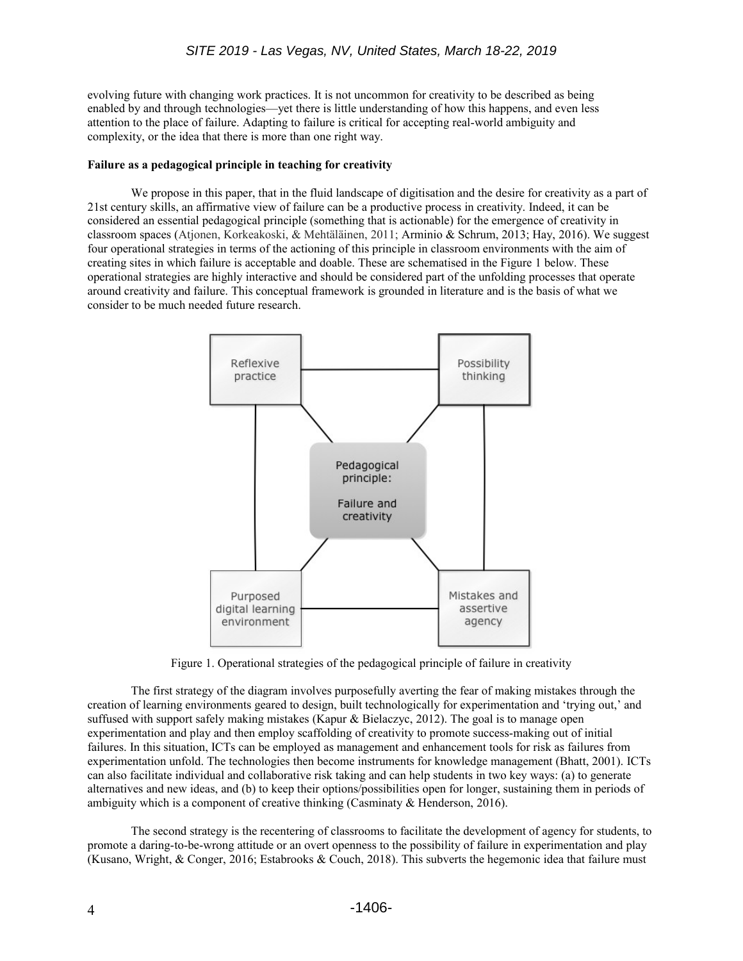evolving future with changing work practices. It is not uncommon for creativity to be described as being enabled by and through technologies—yet there is little understanding of how this happens, and even less attention to the place of failure. Adapting to failure is critical for accepting real-world ambiguity and complexity, or the idea that there is more than one right way.

#### **Failure as a pedagogical principle in teaching for creativity**

We propose in this paper, that in the fluid landscape of digitisation and the desire for creativity as a part of 21st century skills, an affirmative view of failure can be a productive process in creativity. Indeed, it can be considered an essential pedagogical principle (something that is actionable) for the emergence of creativity in classroom spaces (Atjonen, Korkeakoski, & Mehtäläinen, 2011; Arminio & Schrum, 2013; Hay, 2016). We suggest four operational strategies in terms of the actioning of this principle in classroom environments with the aim of creating sites in which failure is acceptable and doable. These are schematised in the Figure 1 below. These operational strategies are highly interactive and should be considered part of the unfolding processes that operate around creativity and failure. This conceptual framework is grounded in literature and is the basis of what we consider to be much needed future research.



Figure 1. Operational strategies of the pedagogical principle of failure in creativity

The first strategy of the diagram involves purposefully averting the fear of making mistakes through the creation of learning environments geared to design, built technologically for experimentation and 'trying out,' and suffused with support safely making mistakes (Kapur & Bielaczyc, 2012). The goal is to manage open experimentation and play and then employ scaffolding of creativity to promote success-making out of initial failures. In this situation, ICTs can be employed as management and enhancement tools for risk as failures from experimentation unfold. The technologies then become instruments for knowledge management (Bhatt, 2001). ICTs can also facilitate individual and collaborative risk taking and can help students in two key ways: (a) to generate alternatives and new ideas, and (b) to keep their options/possibilities open for longer, sustaining them in periods of ambiguity which is a component of creative thinking (Casminaty & Henderson, 2016).

The second strategy is the recentering of classrooms to facilitate the development of agency for students, to promote a daring-to-be-wrong attitude or an overt openness to the possibility of failure in experimentation and play (Kusano, Wright, & Conger, 2016; Estabrooks & Couch, 2018). This subverts the hegemonic idea that failure must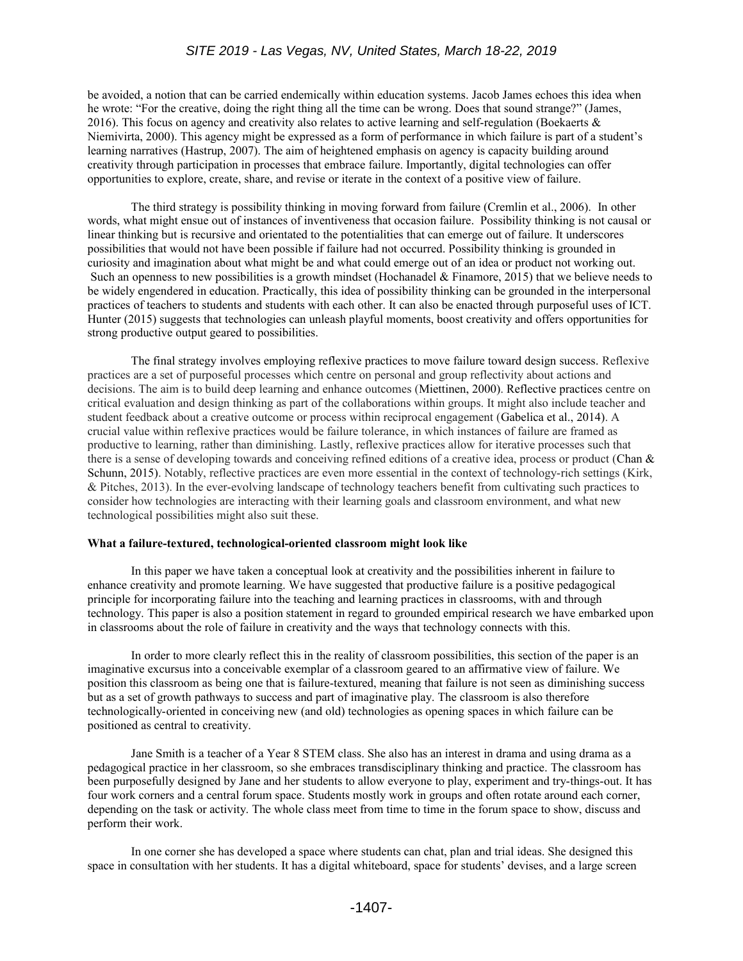be avoided, a notion that can be carried endemically within education systems. Jacob James echoes this idea when he wrote: "For the creative, doing the right thing all the time can be wrong. Does that sound strange?" (James, 2016). This focus on agency and creativity also relates to active learning and self-regulation (Boekaerts  $\&$ Niemivirta, 2000). This agency might be expressed as a form of performance in which failure is part of a student's learning narratives (Hastrup, 2007). The aim of heightened emphasis on agency is capacity building around creativity through participation in processes that embrace failure. Importantly, digital technologies can offer opportunities to explore, create, share, and revise or iterate in the context of a positive view of failure.

The third strategy is possibility thinking in moving forward from failure (Cremlin et al., 2006). In other words, what might ensue out of instances of inventiveness that occasion failure. Possibility thinking is not causal or linear thinking but is recursive and orientated to the potentialities that can emerge out of failure. It underscores possibilities that would not have been possible if failure had not occurred. Possibility thinking is grounded in curiosity and imagination about what might be and what could emerge out of an idea or product not working out. Such an openness to new possibilities is a growth mindset (Hochanadel & Finamore, 2015) that we believe needs to be widely engendered in education. Practically, this idea of possibility thinking can be grounded in the interpersonal practices of teachers to students and students with each other. It can also be enacted through purposeful uses of ICT. Hunter (2015) suggests that technologies can unleash playful moments, boost creativity and offers opportunities for strong productive output geared to possibilities.

The final strategy involves employing reflexive practices to move failure toward design success. Reflexive practices are a set of purposeful processes which centre on personal and group reflectivity about actions and decisions. The aim is to build deep learning and enhance outcomes (Miettinen, 2000). Reflective practices centre on critical evaluation and design thinking as part of the collaborations within groups. It might also include teacher and student feedback about a creative outcome or process within reciprocal engagement (Gabelica et al., 2014). A crucial value within reflexive practices would be failure tolerance, in which instances of failure are framed as productive to learning, rather than diminishing. Lastly, reflexive practices allow for iterative processes such that there is a sense of developing towards and conceiving refined editions of a creative idea, process or product (Chan & Schunn, 2015). Notably, reflective practices are even more essential in the context of technology-rich settings (Kirk, & Pitches, 2013). In the ever-evolving landscape of technology teachers benefit from cultivating such practices to consider how technologies are interacting with their learning goals and classroom environment, and what new technological possibilities might also suit these.

#### **What a failure-textured, technological-oriented classroom might look like**

In this paper we have taken a conceptual look at creativity and the possibilities inherent in failure to enhance creativity and promote learning. We have suggested that productive failure is a positive pedagogical principle for incorporating failure into the teaching and learning practices in classrooms, with and through technology. This paper is also a position statement in regard to grounded empirical research we have embarked upon in classrooms about the role of failure in creativity and the ways that technology connects with this.

In order to more clearly reflect this in the reality of classroom possibilities, this section of the paper is an imaginative excursus into a conceivable exemplar of a classroom geared to an affirmative view of failure. We position this classroom as being one that is failure-textured, meaning that failure is not seen as diminishing success but as a set of growth pathways to success and part of imaginative play. The classroom is also therefore technologically-oriented in conceiving new (and old) technologies as opening spaces in which failure can be positioned as central to creativity.

Jane Smith is a teacher of a Year 8 STEM class. She also has an interest in drama and using drama as a pedagogical practice in her classroom, so she embraces transdisciplinary thinking and practice. The classroom has been purposefully designed by Jane and her students to allow everyone to play, experiment and try-things-out. It has four work corners and a central forum space. Students mostly work in groups and often rotate around each corner, depending on the task or activity. The whole class meet from time to time in the forum space to show, discuss and perform their work.

In one corner she has developed a space where students can chat, plan and trial ideas. She designed this space in consultation with her students. It has a digital whiteboard, space for students' devises, and a large screen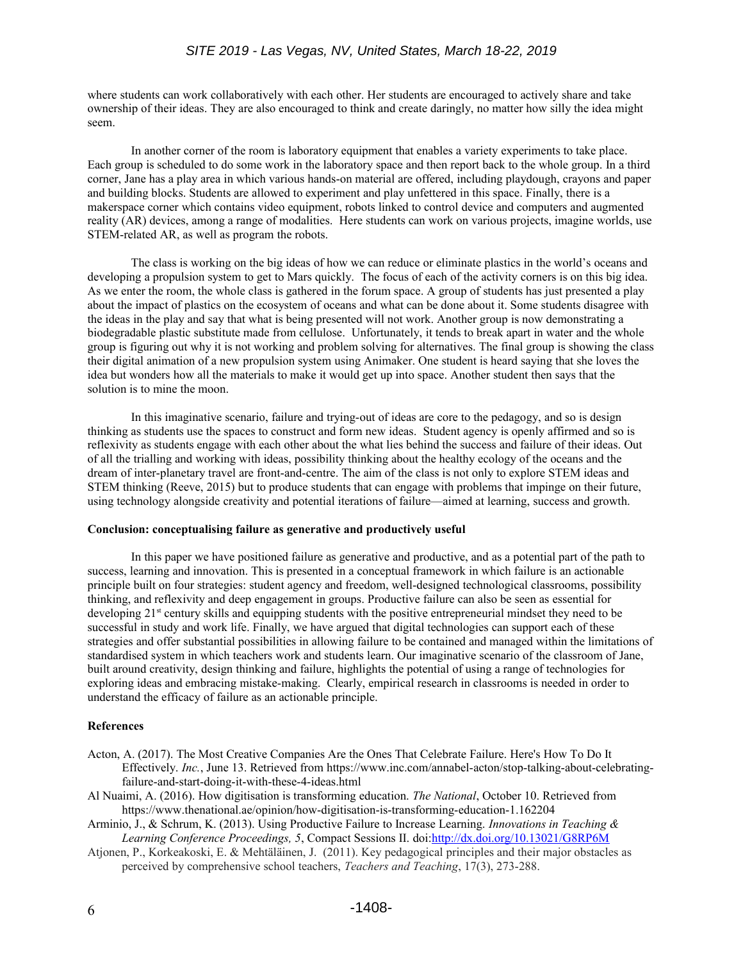where students can work collaboratively with each other. Her students are encouraged to actively share and take ownership of their ideas. They are also encouraged to think and create daringly, no matter how silly the idea might seem.

In another corner of the room is laboratory equipment that enables a variety experiments to take place. Each group is scheduled to do some work in the laboratory space and then report back to the whole group. In a third corner, Jane has a play area in which various hands-on material are offered, including playdough, crayons and paper and building blocks. Students are allowed to experiment and play unfettered in this space. Finally, there is a makerspace corner which contains video equipment, robots linked to control device and computers and augmented reality (AR) devices, among a range of modalities. Here students can work on various projects, imagine worlds, use STEM-related AR, as well as program the robots.

The class is working on the big ideas of how we can reduce or eliminate plastics in the world's oceans and developing a propulsion system to get to Mars quickly. The focus of each of the activity corners is on this big idea. As we enter the room, the whole class is gathered in the forum space. A group of students has just presented a play about the impact of plastics on the ecosystem of oceans and what can be done about it. Some students disagree with the ideas in the play and say that what is being presented will not work. Another group is now demonstrating a biodegradable plastic substitute made from cellulose. Unfortunately, it tends to break apart in water and the whole group is figuring out why it is not working and problem solving for alternatives. The final group is showing the class their digital animation of a new propulsion system using Animaker. One student is heard saying that she loves the idea but wonders how all the materials to make it would get up into space. Another student then says that the solution is to mine the moon.

In this imaginative scenario, failure and trying-out of ideas are core to the pedagogy, and so is design thinking as students use the spaces to construct and form new ideas. Student agency is openly affirmed and so is reflexivity as students engage with each other about the what lies behind the success and failure of their ideas. Out of all the trialling and working with ideas, possibility thinking about the healthy ecology of the oceans and the dream of inter-planetary travel are front-and-centre. The aim of the class is not only to explore STEM ideas and STEM thinking (Reeve, 2015) but to produce students that can engage with problems that impinge on their future, using technology alongside creativity and potential iterations of failure—aimed at learning, success and growth.

# **Conclusion: conceptualising failure as generative and productively useful**

In this paper we have positioned failure as generative and productive, and as a potential part of the path to success, learning and innovation. This is presented in a conceptual framework in which failure is an actionable principle built on four strategies: student agency and freedom, well-designed technological classrooms, possibility thinking, and reflexivity and deep engagement in groups. Productive failure can also be seen as essential for developing 21<sup>st</sup> century skills and equipping students with the positive entrepreneurial mindset they need to be successful in study and work life. Finally, we have argued that digital technologies can support each of these strategies and offer substantial possibilities in allowing failure to be contained and managed within the limitations of standardised system in which teachers work and students learn. Our imaginative scenario of the classroom of Jane, built around creativity, design thinking and failure, highlights the potential of using a range of technologies for exploring ideas and embracing mistake-making. Clearly, empirical research in classrooms is needed in order to understand the efficacy of failure as an actionable principle.

# **References**

- Acton, A. (2017). The Most Creative Companies Are the Ones That Celebrate Failure. Here's How To Do It Effectively. *Inc.*, June 13. Retrieved from https://www.inc.com/annabel-acton/stop-talking-about-celebratingfailure-and-start-doing-it-with-these-4-ideas.html
- Al Nuaimi, A. (2016). How digitisation is transforming education. *The National*, October 10. Retrieved from https://www.thenational.ae/opinion/how-digitisation-is-transforming-education-1.162204
- Arminio, J., & Schrum, K. (2013). Using Productive Failure to Increase Learning. *Innovations in Teaching & Learning Conference Proceedings, 5*, Compact Sessions II. doi[:http://dx.doi.org/10.13021/G8RP6M](http://dx.doi.org/10.13021/G8RP6M)
- Atjonen, P., Korkeakoski, E. & Mehtäläinen, J. (2011). Key pedagogical principles and their major obstacles as perceived by comprehensive school teachers, *Teachers and Teaching*, 17(3), 273-288.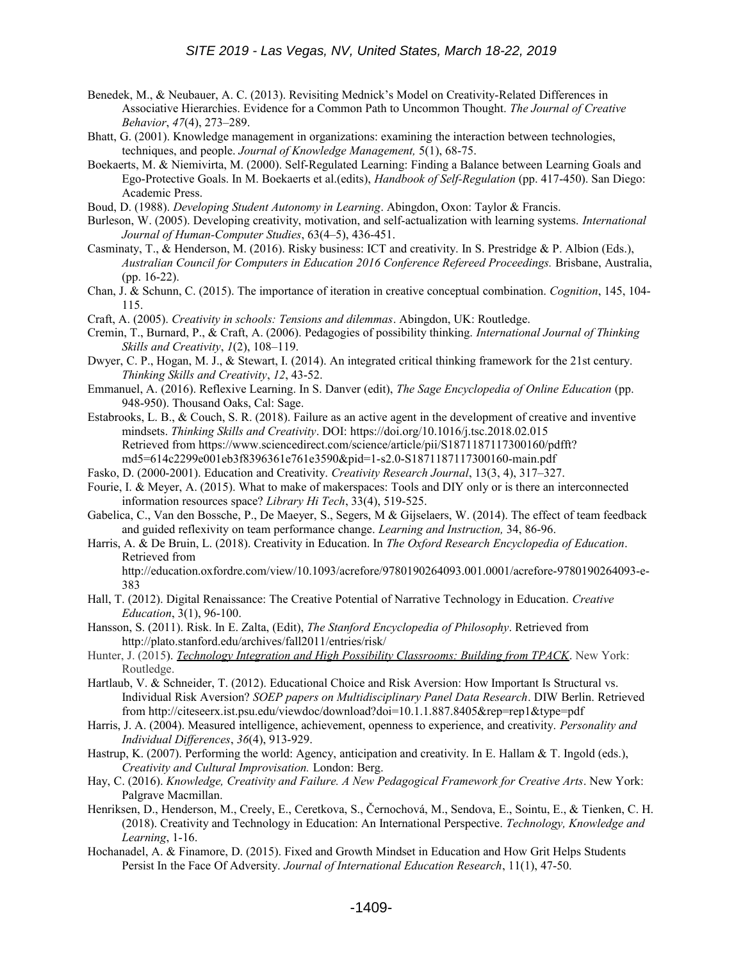- Benedek, M., & Neubauer, A. C. (2013). Revisiting Mednick's Model on Creativity-Related Differences in Associative Hierarchies. Evidence for a Common Path to Uncommon Thought. *The Journal of Creative Behavior*, *47*(4), 273–289.
- Bhatt, G. (2001). Knowledge management in organizations: examining the interaction between technologies, techniques, and people. *Journal of Knowledge Management,* 5(1), 68-75.
- Boekaerts, M. & Niemivirta, M. (2000). Self-Regulated Learning: Finding a Balance between Learning Goals and Ego-Protective Goals. In M. Boekaerts et al.(edits), *Handbook of Self-Regulation* (pp. 417-450). San Diego: Academic Press.
- Boud, D. (1988). *Developing Student Autonomy in Learning*. Abingdon, Oxon: Taylor & Francis.
- Burleson, W. (2005). Developing creativity, motivation, and self-actualization with learning systems. *International Journal of Human-Computer Studies*, 63(4–5), 436-451.
- Casminaty, T., & Henderson, M. (2016). Risky business: ICT and creativity. In S. Prestridge & P. Albion (Eds.), *Australian Council for Computers in Education 2016 Conference Refereed Proceedings.* Brisbane, Australia, (pp. 16-22).
- Chan, J. & Schunn, C. (2015). The importance of iteration in creative conceptual combination. *Cognition*, 145, 104- 115.
- Craft, A. (2005). *Creativity in schools: Tensions and dilemmas*. Abingdon, UK: Routledge.
- Cremin, T., Burnard, P., & Craft, A. (2006). Pedagogies of possibility thinking. *International Journal of Thinking Skills and Creativity*, *1*(2), 108–119.
- Dwyer, C. P., Hogan, M. J., & Stewart, I. (2014). An integrated critical thinking framework for the 21st century. *Thinking Skills and Creativity*, *12*, 43-52.
- Emmanuel, A. (2016). Reflexive Learning. In S. Danver (edit), *The Sage Encyclopedia of Online Education* (pp. 948-950). Thousand Oaks, Cal: Sage.
- Estabrooks, L. B., & Couch, S. R. (2018). Failure as an active agent in the development of creative and inventive mindsets. *Thinking Skills and Creativity*. DOI: https://doi.org/10.1016/j.tsc.2018.02.015 Retrieved from https://www.sciencedirect.com/science/article/pii/S1871187117300160/pdfft? md5=614c2299e001eb3f8396361e761e3590&pid=1-s2.0-S1871187117300160-main.pdf
- Fasko, D. (2000-2001). Education and Creativity. *Creativity Research Journal*, 13(3, 4), 317–327.
- Fourie, I. & Meyer, A. (2015). What to make of makerspaces: Tools and DIY only or is there an interconnected information resources space? *Library Hi Tech*, 33(4), 519-525.
- Gabelica, C., Van den Bossche, P., De Maeyer, S., Segers, M & Gijselaers, W. (2014). The effect of team feedback and guided reflexivity on team performance change. *Learning and Instruction,* 34, 86-96.
- Harris, A. & De Bruin, L. (2018). Creativity in Education. In *The Oxford Research Encyclopedia of Education*. Retrieved from

http://education.oxfordre.com/view/10.1093/acrefore/9780190264093.001.0001/acrefore-9780190264093-e-383

- Hall, T. (2012). Digital Renaissance: The Creative Potential of Narrative Technology in Education. *Creative Education*, 3(1), 96-100.
- Hansson, S. (2011). Risk. In E. Zalta, (Edit), *The Stanford Encyclopedia of Philosophy*. Retrieved from http://plato.stanford.edu/archives/fall2011/entries/risk/
- Hunter, J. (2015). *[Technology Integration and High Possibility Classrooms: Building from TPACK](http://www.amazon.com/Technology-Integration-High-Possibility-Classrooms/dp/1138781339)*. New York: Routledge.
- Hartlaub, V. & Schneider, T. (2012). Educational Choice and Risk Aversion: How Important Is Structural vs. Individual Risk Aversion? *SOEP papers on Multidisciplinary Panel Data Research*. DIW Berlin. Retrieved from http://citeseerx.ist.psu.edu/viewdoc/download?doi=10.1.1.887.8405&rep=rep1&type=pdf
- Harris, J. A. (2004). Measured intelligence, achievement, openness to experience, and creativity. *Personality and Individual Differences*, *36*(4), 913-929.
- Hastrup, K. (2007). Performing the world: Agency, anticipation and creativity. In E. Hallam & T. Ingold (eds.), *Creativity and Cultural Improvisation.* London: Berg.
- Hay, C. (2016). *Knowledge, Creativity and Failure. A New Pedagogical Framework for Creative Arts*. New York: Palgrave Macmillan.
- Henriksen, D., Henderson, M., Creely, E., Ceretkova, S., Černochová, M., Sendova, E., Sointu, E., & Tienken, C. H. (2018). Creativity and Technology in Education: An International Perspective. *Technology, Knowledge and Learning*, 1-16.
- Hochanadel, A. & Finamore, D. (2015). Fixed and Growth Mindset in Education and How Grit Helps Students Persist In the Face Of Adversity. *Journal of International Education Research*, 11(1), 47-50.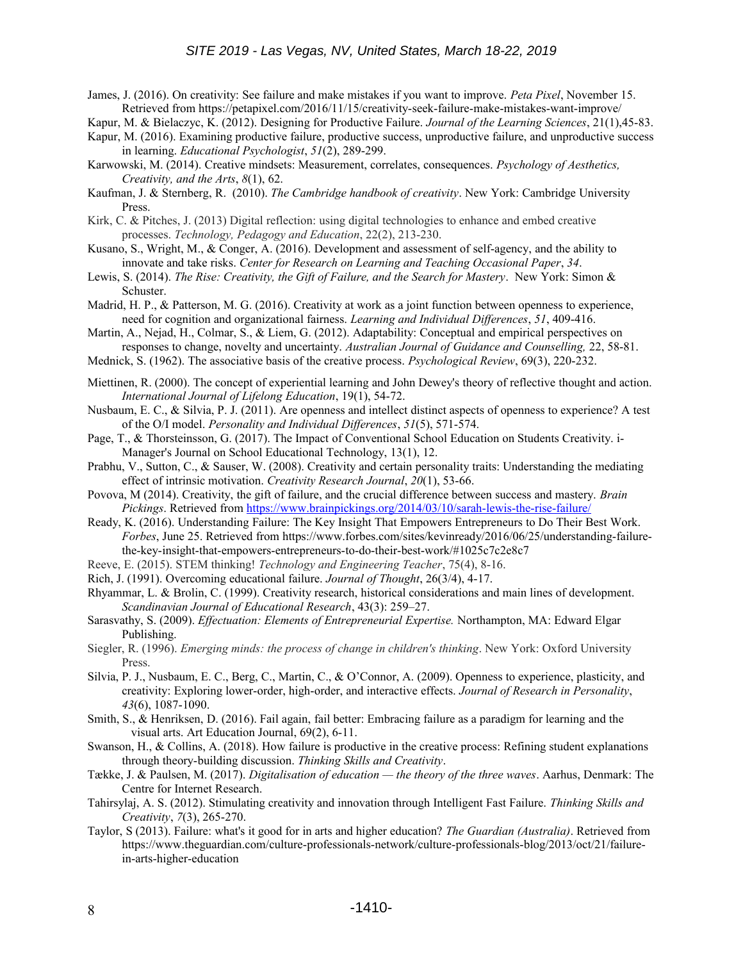James, J. (2016). On creativity: See failure and make mistakes if you want to improve. *Peta Pixel*, November 15. Retrieved from https://petapixel.com/2016/11/15/creativity-seek-failure-make-mistakes-want-improve/

Kapur, M. & Bielaczyc, K. (2012). Designing for Productive Failure. *Journal of the Learning Sciences*, 21(1),45-83.

- Kapur, M. (2016). Examining productive failure, productive success, unproductive failure, and unproductive success in learning. *Educational Psychologist*, *51*(2), 289-299.
- Karwowski, M. (2014). Creative mindsets: Measurement, correlates, consequences. *Psychology of Aesthetics, Creativity, and the Arts*, *8*(1), 62.
- Kaufman, J. & Sternberg, R. (2010). *The Cambridge handbook of creativity*. New York: Cambridge University Press.
- Kirk, C. & Pitches, J. (2013) Digital reflection: using digital technologies to enhance and embed creative processes. *Technology, Pedagogy and Education*, 22(2), 213-230.
- Kusano, S., Wright, M., & Conger, A. (2016). Development and assessment of self-agency, and the ability to innovate and take risks. *Center for Research on Learning and Teaching Occasional Paper*, *34*.
- Lewis, S. (2014). *The Rise: Creativity, the Gift of Failure, and the Search for Mastery*. New York: Simon & Schuster.
- Madrid, H. P., & Patterson, M. G. (2016). Creativity at work as a joint function between openness to experience, need for cognition and organizational fairness. *Learning and Individual Differences*, *51*, 409-416.
- Martin, A., Nejad, H., Colmar, S., & Liem, G. (2012). Adaptability: Conceptual and empirical perspectives on responses to change, novelty and uncertainty. *Australian Journal of Guidance and Counselling,* 22, 58-81.
- Mednick, S. (1962). The associative basis of the creative process. *Psychological Review*, 69(3), 220-232.
- Miettinen, R. (2000). The concept of experiential learning and John Dewey's theory of reflective thought and action. *International Journal of Lifelong Education*, 19(1), 54-72.
- Nusbaum, E. C., & Silvia, P. J. (2011). Are openness and intellect distinct aspects of openness to experience? A test of the O/I model. *Personality and Individual Differences*, *51*(5), 571-574.
- Page, T., & Thorsteinsson, G. (2017). The Impact of Conventional School Education on Students Creativity. i-Manager's Journal on School Educational Technology, 13(1), 12.
- Prabhu, V., Sutton, C., & Sauser, W. (2008). Creativity and certain personality traits: Understanding the mediating effect of intrinsic motivation. *Creativity Research Journal*, *20*(1), 53-66.
- Povova, M (2014). Creativity, the gift of failure, and the crucial difference between success and mastery. *Brain Pickings*. Retrieved from<https://www.brainpickings.org/2014/03/10/sarah-lewis-the-rise-failure/>
- Ready, K. (2016). Understanding Failure: The Key Insight That Empowers Entrepreneurs to Do Their Best Work. *Forbes*, June 25. Retrieved from https://www.forbes.com/sites/kevinready/2016/06/25/understanding-failurethe-key-insight-that-empowers-entrepreneurs-to-do-their-best-work/#1025c7c2e8c7
- Reeve, E. (2015). STEM thinking! *Technology and Engineering Teacher*, 75(4), 8-16.
- Rich, J. (1991). Overcoming educational failure. *Journal of Thought*, 26(3/4), 4-17.
- Rhyammar, L. & Brolin, C. (1999). Creativity research, historical considerations and main lines of development. *Scandinavian Journal of Educational Research*, 43(3): 259–27.
- Sarasvathy, S. (2009). *Effectuation: Elements of Entrepreneurial Expertise.* Northampton, MA: Edward Elgar Publishing.
- Siegler, R. (1996). *Emerging minds: the process of change in children's thinking*. New York: Oxford University Press.
- Silvia, P. J., Nusbaum, E. C., Berg, C., Martin, C., & O'Connor, A. (2009). Openness to experience, plasticity, and creativity: Exploring lower-order, high-order, and interactive effects. *Journal of Research in Personality*, *43*(6), 1087-1090.
- Smith, S., & Henriksen, D. (2016). Fail again, fail better: Embracing failure as a paradigm for learning and the visual arts. Art Education Journal, 69(2), 6-11.
- Swanson, H., & Collins, A. (2018). How failure is productive in the creative process: Refining student explanations through theory-building discussion. *Thinking Skills and Creativity*.
- Tække, J. & Paulsen, M. (2017). *Digitalisation of education the theory of the three waves*. Aarhus, Denmark: The Centre for Internet Research.
- Tahirsylaj, A. S. (2012). Stimulating creativity and innovation through Intelligent Fast Failure. *Thinking Skills and Creativity*, *7*(3), 265-270.
- Taylor, S (2013). Failure: what's it good for in arts and higher education? *The Guardian (Australia)*. Retrieved from https://www.theguardian.com/culture-professionals-network/culture-professionals-blog/2013/oct/21/failurein-arts-higher-education